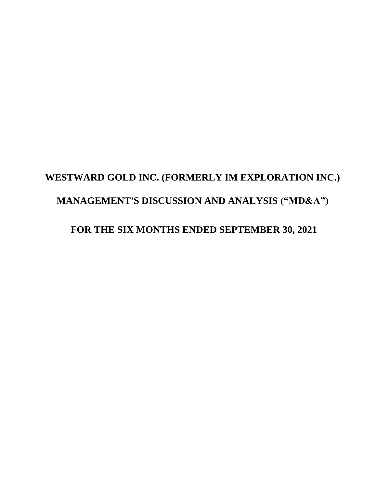# **WESTWARD GOLD INC. (FORMERLY IM EXPLORATION INC.) MANAGEMENT'S DISCUSSION AND ANALYSIS ("MD&A") FOR THE SIX MONTHS ENDED SEPTEMBER 30, 2021**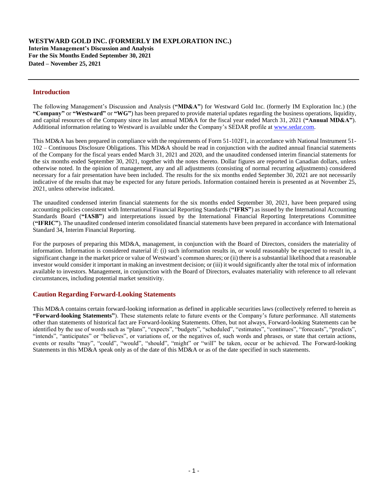## **Introduction**

The following Management's Discussion and Analysis (**"MD&A"**) for Westward Gold Inc. (formerly IM Exploration Inc.) (the **"Company"** or **"Westward"** or **"WG"**) has been prepared to provide material updates regarding the business operations, liquidity, and capital resources of the Company since its last annual MD&A for the fiscal year ended March 31, 2021 (**"Annual MD&A"**). Additional information relating to Westward is available under the Company's SEDAR profile at [www.sedar.com.](http://www.sedar.com/)

This MD&A has been prepared in compliance with the requirements of Form 51-102F1, in accordance with National Instrument 51- 102 – Continuous Disclosure Obligations. This MD&A should be read in conjunction with the audited annual financial statements of the Company for the fiscal years ended March 31, 2021 and 2020, and the unaudited condensed interim financial statements for the six months ended September 30, 2021, together with the notes thereto. Dollar figures are reported in Canadian dollars, unless otherwise noted. In the opinion of management, any and all adjustments (consisting of normal recurring adjustments) considered necessary for a fair presentation have been included. The results for the six months ended September 30, 2021 are not necessarily indicative of the results that may be expected for any future periods. Information contained herein is presented as at November 25, 2021, unless otherwise indicated.

The unaudited condensed interim financial statements for the six months ended September 30, 2021, have been prepared using accounting policies consistent with International Financial Reporting Standards (**"IFRS"**) as issued by the International Accounting Standards Board (**"IASB"**) and interpretations issued by the International Financial Reporting Interpretations Committee (**"IFRIC"**). The unaudited condensed interim consolidated financial statements have been prepared in accordance with International Standard 34, Interim Financial Reporting.

For the purposes of preparing this MD&A, management, in conjunction with the Board of Directors, considers the materiality of information. Information is considered material if: (i) such information results in, or would reasonably be expected to result in, a significant change in the market price or value of Westward's common shares; or (ii) there is a substantial likelihood that a reasonable investor would consider it important in making an investment decision; or (iii) it would significantly alter the total mix of information available to investors. Management, in conjunction with the Board of Directors, evaluates materiality with reference to all relevant circumstances, including potential market sensitivity.

# **Caution Regarding Forward-Looking Statements**

This MD&A contains certain forward-looking information as defined in applicable securities laws (collectively referred to herein as **"Forward-looking Statements"**). These statements relate to future events or the Company's future performance. All statements other than statements of historical fact are Forward-looking Statements. Often, but not always, Forward-looking Statements can be identified by the use of words such as "plans", "expects", "budgets", "scheduled", "estimates", "continues", "forecasts", "predicts", "intends", "anticipates" or "believes", or variations of, or the negatives of, such words and phrases, or state that certain actions, events or results "may", "could", "would", "should", "might" or "will" be taken, occur or be achieved. The Forward-looking Statements in this MD&A speak only as of the date of this MD&A or as of the date specified in such statements.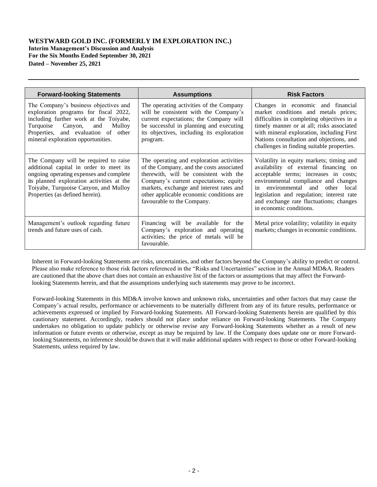**Interim Management's Discussion and Analysis For the Six Months Ended September 30, 2021 Dated – November 25, 2021**

| <b>Forward-looking Statements</b>                                                                                                                                                                                                                    | <b>Assumptions</b>                                                                                                                                                                                                                                                                             | <b>Risk Factors</b>                                                                                                                                                                                                                                                                                                       |
|------------------------------------------------------------------------------------------------------------------------------------------------------------------------------------------------------------------------------------------------------|------------------------------------------------------------------------------------------------------------------------------------------------------------------------------------------------------------------------------------------------------------------------------------------------|---------------------------------------------------------------------------------------------------------------------------------------------------------------------------------------------------------------------------------------------------------------------------------------------------------------------------|
| The Company's business objectives and<br>exploration programs for fiscal 2022,<br>including further work at the Toiyabe,<br>Canyon,<br>Turquoise<br>Mulloy<br>and<br>Properties, and evaluation of other<br>mineral exploration opportunities.       | The operating activities of the Company<br>will be consistent with the Company's<br>current expectations; the Company will<br>be successful in planning and executing<br>its objectives, including its exploration<br>program.                                                                 | Changes in economic and financial<br>market conditions and metals prices;<br>difficulties in completing objectives in a<br>timely manner or at all; risks associated<br>with mineral exploration, including First<br>Nations consultation and objections, and<br>challenges in finding suitable properties.               |
| The Company will be required to raise<br>additional capital in order to meet its<br>ongoing operating expenses and complete<br>its planned exploration activities at the<br>Toiyabe, Turquoise Canyon, and Mulloy<br>Properties (as defined herein). | The operating and exploration activities<br>of the Company, and the costs associated<br>therewith, will be consistent with the<br>Company's current expectations; equity<br>markets, exchange and interest rates and<br>other applicable economic conditions are<br>favourable to the Company. | Volatility in equity markets; timing and<br>availability of external financing on<br>acceptable terms; increases in costs;<br>environmental compliance and changes<br>in environmental and other local<br>legislation and regulation; interest rate<br>and exchange rate fluctuations; changes<br>in economic conditions. |
| Management's outlook regarding future<br>trends and future uses of cash.                                                                                                                                                                             | Financing will be available for the<br>Company's exploration and operating<br>activities; the price of metals will be<br>favourable.                                                                                                                                                           | Metal price volatility; volatility in equity<br>markets; changes in economic conditions.                                                                                                                                                                                                                                  |

Inherent in Forward-looking Statements are risks, uncertainties, and other factors beyond the Company's ability to predict or control. Please also make reference to those risk factors referenced in the "Risks and Uncertainties" section in the Annual MD&A. Readers are cautioned that the above chart does not contain an exhaustive list of the factors or assumptions that may affect the Forwardlooking Statements herein, and that the assumptions underlying such statements may prove to be incorrect.

Forward-looking Statements in this MD&A involve known and unknown risks, uncertainties and other factors that may cause the Company's actual results, performance or achievements to be materially different from any of its future results, performance or achievements expressed or implied by Forward-looking Statements. All Forward-looking Statements herein are qualified by this cautionary statement. Accordingly, readers should not place undue reliance on Forward-looking Statements. The Company undertakes no obligation to update publicly or otherwise revise any Forward-looking Statements whether as a result of new information or future events or otherwise, except as may be required by law. If the Company does update one or more Forwardlooking Statements, no inference should be drawn that it will make additional updates with respect to those or other Forward-looking Statements, unless required by law.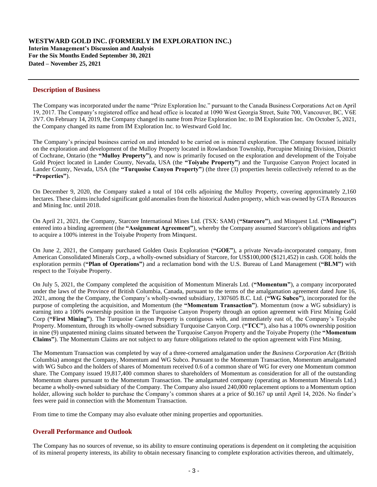**Interim Management's Discussion and Analysis For the Six Months Ended September 30, 2021 Dated – November 25, 2021**

## **Description of Business**

The Company was incorporated under the name "Prize Exploration Inc." pursuant to the Canada Business Corporations Act on April 19, 2017. The Company's registered office and head office is located at 1090 West Georgia Street, Suite 700, Vancouver, BC, V6E 3V7. On February 14, 2019, the Company changed its name from Prize Exploration Inc. to IM Exploration Inc. On October 5, 2021, the Company changed its name from IM Exploration Inc. to Westward Gold Inc.

The Company's principal business carried on and intended to be carried on is mineral exploration. The Company focused initially on the exploration and development of the Mulloy Property located in Rowlandson Township, Porcupine Mining Division, District of Cochrane, Ontario (the **"Mulloy Property")**, and now is primarily focused on the exploration and development of the Toiyabe Gold Project located in Lander County, Nevada, USA (the **"Toiyabe Property"**) and the Turquoise Canyon Project located in Lander County, Nevada, USA (the **"Turquoise Canyon Property"**) (the three (3) properties herein collectively referred to as the **"Properties"**).

On December 9, 2020, the Company staked a total of 104 cells adjoining the Mulloy Property, covering approximately 2,160 hectares. These claims included significant gold anomalies from the historical Auden property, which was owned by GTA Resources and Mining Inc. until 2018.

On April 21, 2021, the Company, Starcore International Mines Ltd. (TSX: SAM) (**"Starcore"**), and Minquest Ltd. (**"Minquest"**) entered into a binding agreement (the **"Assignment Agreement"**), whereby the Company assumed Starcore's obligations and rights to acquire a 100% interest in the Toiyabe Property from Minquest.

On June 2, 2021, the Company purchased Golden Oasis Exploration (**"GOE"**), a private Nevada-incorporated company, from American Consolidated Minerals Corp., a wholly-owned subsidiary of Starcore, for US\$100,000 (\$121,452) in cash. GOE holds the exploration permits (**"Plan of Operations"**) and a reclamation bond with the U.S. Bureau of Land Management (**"BLM"**) with respect to the Toiyabe Property.

On July 5, 2021, the Company completed the acquisition of Momentum Minerals Ltd. (**"Momentum"**), a company incorporated under the laws of the Province of British Columbia, Canada, pursuant to the terms of the amalgamation agreement dated June 16, 2021, among the the Company, the Company's wholly-owned subsidiary, 1307605 B.C. Ltd. (**"WG Subco"**), incorporated for the purpose of completing the acquisition, and Momentum (the **"Momentum Transaction"**). Momentum (now a WG subsidiary) is earning into a 100% ownership position in the Turquoise Canyon Property through an option agreement with First Mining Gold Corp (**"First Mining"**). The Turquoise Canyon Property is contiguous with, and immediately east of, the Company's Toiyabe Property. Momentum, through its wholly-owned subsidiary Turquoise Canyon Corp. (**"TCC"**), also has a 100% ownership position in nine (9) unpatented mining claims situated between the Turquoise Canyon Property and the Toiyabe Property (the **"Momentum Claims"**). The Momentum Claims are not subject to any future obligations related to the option agreement with First Mining.

The Momentum Transaction was completed by way of a three-cornered amalgamation under the *Business Corporation Act* (British Columbia) amongst the Company, Momentum and WG Subco. Pursuant to the Momentum Transaction, Momentum amalgamated with WG Subco and the holders of shares of Momentum received 0.6 of a common share of WG for every one Momentum common share. The Company issued 19,817,400 common shares to shareholders of Momentum as consideration for all of the outstanding Momentum shares pursuant to the Momentum Transaction. The amalgamated company (operating as Momentum Minerals Ltd.) became a wholly-owned subsidiary of the Company. The Company also issued 240,000 replacement options to a Momentum option holder, allowing such holder to purchase the Company's common shares at a price of \$0.167 up until April 14, 2026. No finder's fees were paid in connection with the Momentum Transaction.

From time to time the Company may also evaluate other mining properties and opportunities.

# **Overall Performance and Outlook**

The Company has no sources of revenue, so its ability to ensure continuing operations is dependent on it completing the acquisition of its mineral property interests, its ability to obtain necessary financing to complete exploration activities thereon, and ultimately,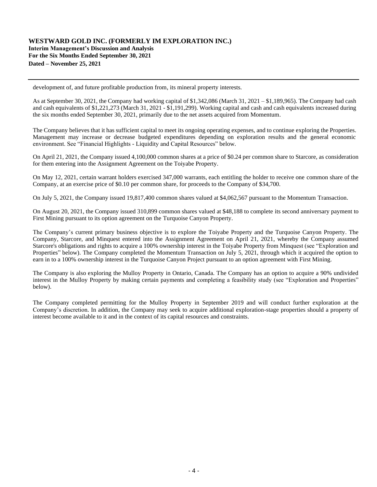development of, and future profitable production from, its mineral property interests.

As at September 30, 2021, the Company had working capital of \$1,342,086 (March 31, 2021 – \$1,189,965). The Company had cash and cash equivalents of \$1,221,273 (March 31, 2021 - \$1,191,299). Working capital and cash and cash equivalents increased during the six months ended September 30, 2021, primarily due to the net assets acquired from Momentum.

The Company believes that it has sufficient capital to meet its ongoing operating expenses, and to continue exploring the Properties. Management may increase or decrease budgeted expenditures depending on exploration results and the general economic environment. See "Financial Highlights - Liquidity and Capital Resources" below.

On April 21, 2021, the Company issued 4,100,000 common shares at a price of \$0.24 per common share to Starcore, as consideration for them entering into the Assignment Agreement on the Toiyabe Property.

On May 12, 2021, certain warrant holders exercised 347,000 warrants, each entitling the holder to receive one common share of the Company, at an exercise price of \$0.10 per common share, for proceeds to the Company of \$34,700.

On July 5, 2021, the Company issued 19,817,400 common shares valued at \$4,062,567 pursuant to the Momentum Transaction.

On August 20, 2021, the Company issued 310,899 common shares valued at \$48,188 to complete its second anniversary payment to First Mining pursuant to its option agreement on the Turquoise Canyon Property.

The Company's current primary business objective is to explore the Toiyabe Property and the Turquoise Canyon Property. The Company, Starcore, and Minquest entered into the Assignment Agreement on April 21, 2021, whereby the Company assumed Starcore's obligations and rights to acquire a 100% ownership interest in the Toiyabe Property from Minquest (see "Exploration and Properties" below). The Company completed the Momentum Transaction on July 5, 2021, through which it acquired the option to earn in to a 100% ownership interest in the Turquoise Canyon Project pursuant to an option agreement with First Mining.

The Company is also exploring the Mulloy Property in Ontario, Canada. The Company has an option to acquire a 90% undivided interest in the Mulloy Property by making certain payments and completing a feasibility study (see "Exploration and Properties" below).

The Company completed permitting for the Mulloy Property in September 2019 and will conduct further exploration at the Company's discretion. In addition, the Company may seek to acquire additional exploration-stage properties should a property of interest become available to it and in the context of its capital resources and constraints.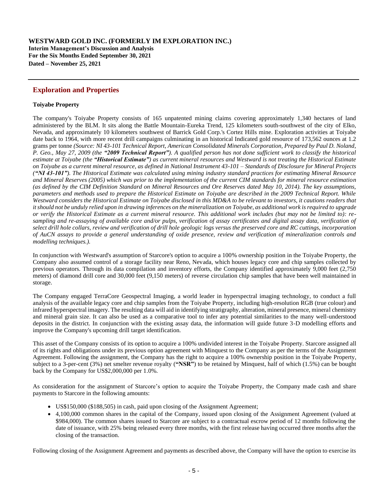#### **WESTWARD GOLD INC. (FORMERLY IM EXPLORATION INC.) Interim Management's Discussion and Analysis**

**For the Six Months Ended September 30, 2021 Dated – November 25, 2021**

# **Exploration and Properties**

# **Toiyabe Property**

The company's Toiyabe Property consists of 165 unpatented mining claims covering approximately 1,340 hectares of land administered by the BLM. It sits along the Battle Mountain-Eureka Trend, 125 kilometers south-southwest of the city of Elko, Nevada, and approximately 10 kilometers southwest of Barrick Gold Corp.'s Cortez Hills mine. Exploration activities at Toiyabe date back to 1964, with more recent drill campaigns culminating in an historical Indicated gold resource of 173,562 ounces at 1.2 grams per tonne *(Source: NI 43-101 Technical Report, American Consolidated Minerals Corporation, Prepared by Paul D. Noland, P. Geo., May 27, 2009 (the "2009 Technical Report"). A qualified person has not done sufficient work to classify the historical estimate at Toiyabe (the "Historical Estimate") as current mineral resources and Westward is not treating the Historical Estimate on Toiyabe as a current mineral resource, as defined in National Instrument 43-101 – Standards of Disclosure for Mineral Projects ("NI 43-101"). The Historical Estimate was calculated using mining industry standard practices for estimating Mineral Resource and Mineral Reserves (2005) which was prior to the implementation of the current CIM standards for mineral resource estimation (as defined by the CIM Definition Standard on Mineral Resources and Ore Reserves dated May 10, 2014). The key assumptions, parameters and methods used to prepare the Historical Estimate on Toiyabe are described in the 2009 Technical Report. While*  Westward considers the Historical Estimate on Toiyabe disclosed in this MD&A to be relevant to investors, it cautions readers that it should not be unduly relied upon in drawing inferences on the mineralization on Toiyabe, as additional work is required to upgrade *or verify the Historical Estimate as a current mineral resource. This additional work includes (but may not be limited to): resampling and re-assaying of available core and/or pulps, verification of assay certificates and digital assay data, verification of select drill hole collars, review and verification of drill hole geologic logs versus the preserved core and RC cuttings, incorporation of AuCN assays to provide a general understanding of oxide presence, review and verification of mineralization controls and modelling techniques.).*

In conjunction with Westward's assumption of Starcore's option to acquire a 100% ownership position in the Toiyabe Property, the Company also assumed control of a storage facility near Reno, Nevada, which houses legacy core and chip samples collected by previous operators. Through its data compilation and inventory efforts, the Company identified approximately 9,000 feet (2,750 meters) of diamond drill core and 30,000 feet (9,150 meters) of reverse circulation chip samples that have been well maintained in storage.

The Company engaged TerraCore Geospectral Imaging, a world leader in hyperspectral imaging technology, to conduct a full analysis of the available legacy core and chip samples from the Toiyabe Property, including high-resolution RGB (true colour) and infrared hyperspectral imagery. The resulting data will aid in identifying stratigraphy, alteration, mineral presence, mineral chemistry and mineral grain size. It can also be used as a comparative tool to infer any potential similarities to the many well-understood deposits in the district. In conjunction with the existing assay data, the information will guide future 3-D modelling efforts and improve the Company's upcoming drill target identification.

This asset of the Company consists of its option to acquire a 100% undivided interest in the Toiyabe Property. Starcore assigned all of its rights and obligations under its previous option agreement with Minquest to the Company as per the terms of the Assignment Agreement. Following the assignment, the Company has the right to acquire a 100% ownership position in the Toiyabe Property, subject to a 3-per-cent (3%) net smelter revenue royalty (**"NSR"**) to be retained by Minquest, half of which (1.5%) can be bought back by the Company for US\$2,000,000 per 1.0%.

As consideration for the assignment of Starcore's option to acquire the Toiyabe Property, the Company made cash and share payments to Starcore in the following amounts:

- US\$150,000 (\$188,505) in cash, paid upon closing of the Assignment Agreement;
- 4,100,000 common shares in the capital of the Company, issued upon closing of the Assignment Agreement (valued at \$984,000). The common shares issued to Starcore are subject to a contractual escrow period of 12 months following the date of issuance, with 25% being released every three months, with the first release having occurred three months after the closing of the transaction.

Following closing of the Assignment Agreement and payments as described above, the Company will have the option to exercise its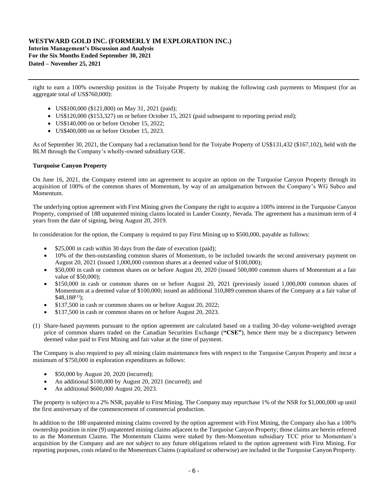**Interim Management's Discussion and Analysis For the Six Months Ended September 30, 2021 Dated – November 25, 2021**

right to earn a 100% ownership position in the Toiyabe Property by making the following cash payments to Minquest (for an aggregate total of US\$760,000):

- US\$100,000 (\$121,800) on May 31, 2021 (paid);
- US\$120,000 (\$153,327) on or before October 15, 2021 (paid subsequent to reporting period end);
- US\$140,000 on or before October 15, 2022;
- US\$400,000 on or before October 15, 2023.

As of September 30, 2021, the Company had a reclamation bond for the Toiyabe Property of US\$131,432 (\$167,102), held with the BLM through the Company's wholly-owned subsidiary GOE.

# **Turquoise Canyon Property**

On June 16, 2021, the Company entered into an agreement to acquire an option on the Turquoise Canyon Property through its acquisition of 100% of the common shares of Momentum, by way of an amalgamation between the Company's WG Subco and Momentum.

The underlying option agreement with First Mining gives the Company the right to acquire a 100% interest in the Turquoise Canyon Property, comprised of 188 unpatented mining claims located in Lander County, Nevada. The agreement has a maximum term of 4 years from the date of signing, being August 20, 2019.

In consideration for the option, the Company is required to pay First Mining up to \$500,000, payable as follows:

- \$25,000 in cash within 30 days from the date of execution (paid);
- 10% of the then-outstanding common shares of Momentum, to be included towards the second anniversary payment on August 20, 2021 (issued 1,000,000 common shares at a deemed value of \$100,000);
- \$50,000 in cash or common shares on or before August 20, 2020 (issued 500,000 common shares of Momentum at a fair value of \$50,000);
- \$150,000 in cash or common shares on or before August 20, 2021 (previously issued 1,000,000 common shares of Momentum at a deemed value of \$100,000; issued an additional 310,889 common shares of the Company at a fair value of  $$48,188^{(1)}$;$
- \$137,500 in cash or common shares on or before August 20, 2022;
- \$137,500 in cash or common shares on or before August 20, 2023.
- (1) Share-based payments pursuant to the option agreement are calculated based on a trailing 30-day volume-weighted average price of common shares traded on the Canadian Securities Exchange (**"CSE"**), hence there may be a discrepancy between deemed value paid to First Mining and fair value at the time of payment.

The Company is also required to pay all mining claim maintenance fees with respect to the Turquoise Canyon Property and incur a minimum of \$750,000 in exploration expenditures as follows:

- \$50,000 by August 20, 2020 (incurred);
- An additional \$100,000 by August 20, 2021 (incurred); and
- An additional \$600,000 August 20, 2023.

The property is subject to a 2% NSR, payable to First Mining. The Company may repurchase 1% of the NSR for \$1,000,000 up until the first anniversary of the commencement of commercial production.

In addition to the 188 unpatented mining claims covered by the option agreement with First Mining, the Company also has a 100% ownership position in nine (9) unpatented mining claims adjacent to the Turquoise Canyon Property; those claims are herein referred to as the Momentum Claims. The Momentum Claims were staked by then-Momentum subsidiary TCC prior to Momentum's acquisition by the Company and are not subject to any future obligations related to the option agreement with First Mining. For reporting purposes, costs related to the Momentum Claims (capitalized or otherwise) are included in the Turquoise Canyon Property.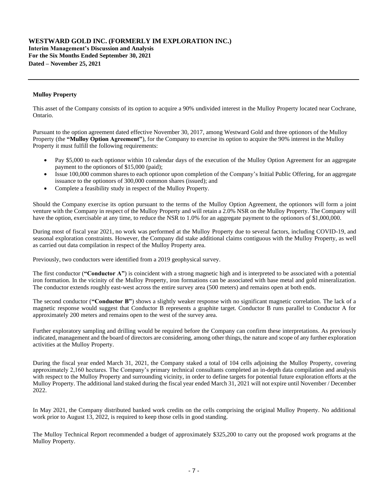**Interim Management's Discussion and Analysis For the Six Months Ended September 30, 2021 Dated – November 25, 2021**

## **Mulloy Property**

This asset of the Company consists of its option to acquire a 90% undivided interest in the Mulloy Property located near Cochrane, Ontario.

Pursuant to the option agreement dated effective November 30, 2017, among Westward Gold and three optionors of the Mulloy Property (the **"Mulloy Option Agreement"**), for the Company to exercise its option to acquire the 90% interest in the Mulloy Property it must fulfill the following requirements:

- Pay \$5,000 to each optionor within 10 calendar days of the execution of the Mulloy Option Agreement for an aggregate payment to the optionors of \$15,000 (paid);
- Issue 100,000 common shares to each optionor upon completion of the Company's Initial Public Offering, for an aggregate issuance to the optionors of 300,000 common shares (issued); and
- Complete a feasibility study in respect of the Mulloy Property.

Should the Company exercise its option pursuant to the terms of the Mulloy Option Agreement, the optionors will form a joint venture with the Company in respect of the Mulloy Property and will retain a 2.0% NSR on the Mulloy Property. The Company will have the option, exercisable at any time, to reduce the NSR to 1.0% for an aggregate payment to the optionors of \$1,000,000.

During most of fiscal year 2021, no work was performed at the Mulloy Property due to several factors, including COVID-19, and seasonal exploration constraints. However, the Company did stake additional claims contiguous with the Mulloy Property, as well as carried out data compilation in respect of the Mulloy Property area.

Previously, two conductors were identified from a 2019 geophysical survey.

The first conductor (**"Conductor A"**) is coincident with a strong magnetic high and is interpreted to be associated with a potential iron formation. In the vicinity of the Mulloy Property, iron formations can be associated with base metal and gold mineralization. The conductor extends roughly east-west across the entire survey area (500 meters) and remains open at both ends.

The second conductor (**"Conductor B"**) shows a slightly weaker response with no significant magnetic correlation. The lack of a magnetic response would suggest that Conductor B represents a graphite target. Conductor B runs parallel to Conductor A for approximately 200 meters and remains open to the west of the survey area.

Further exploratory sampling and drilling would be required before the Company can confirm these interpretations. As previously indicated, management and the board of directors are considering, among other things, the nature and scope of any further exploration activities at the Mulloy Property.

During the fiscal year ended March 31, 2021, the Company staked a total of 104 cells adjoining the Mulloy Property, covering approximately 2,160 hectares. The Company's primary technical consultants completed an in-depth data compilation and analysis with respect to the Mulloy Property and surrounding vicinity, in order to define targets for potential future exploration efforts at the Mulloy Property. The additional land staked during the fiscal year ended March 31, 2021 will not expire until November / December 2022.

In May 2021, the Company distributed banked work credits on the cells comprising the original Mulloy Property. No additional work prior to August 13, 2022, is required to keep those cells in good standing.

The Mulloy Technical Report recommended a budget of approximately \$325,200 to carry out the proposed work programs at the Mulloy Property.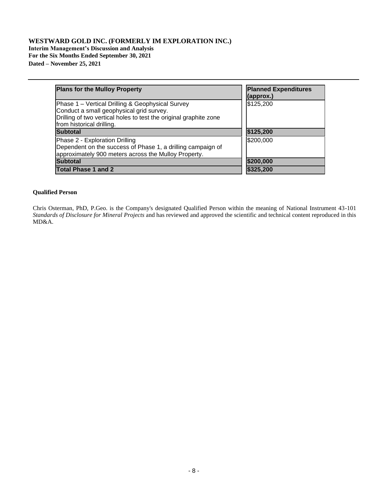**Interim Management's Discussion and Analysis For the Six Months Ended September 30, 2021 Dated – November 25, 2021**

| <b>Plans for the Mulloy Property</b>                                                                                                                                                           | <b>Planned Expenditures</b><br>(approx.) |
|------------------------------------------------------------------------------------------------------------------------------------------------------------------------------------------------|------------------------------------------|
| Phase 1 – Vertical Drilling & Geophysical Survey<br>Conduct a small geophysical grid survey.<br>Drilling of two vertical holes to test the original graphite zone<br>from historical drilling. | \$125,200                                |
| <b>Subtotal</b>                                                                                                                                                                                | \$125,200                                |
| Phase 2 - Exploration Drilling<br>Dependent on the success of Phase 1, a drilling campaign of<br>approximately 900 meters across the Mulloy Property.                                          | \$200,000                                |
| <b>Subtotal</b>                                                                                                                                                                                | \$200,000                                |
| <b>Total Phase 1 and 2</b>                                                                                                                                                                     | \$325,200                                |

### **Qualified Person**

Chris Osterman, PhD, P.Geo. is the Company's designated Qualified Person within the meaning of National Instrument 43-101 *Standards of Disclosure for Mineral Projects* and has reviewed and approved the scientific and technical content reproduced in this MD&A.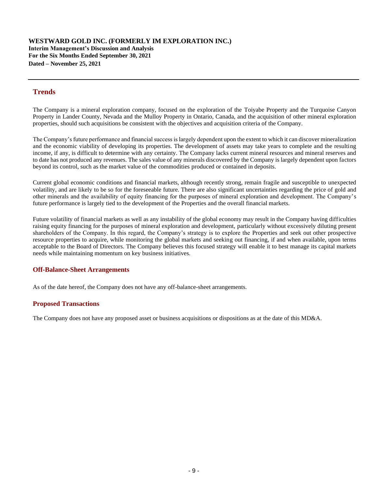# **Trends**

The Company is a mineral exploration company, focused on the exploration of the Toiyabe Property and the Turquoise Canyon Property in Lander County, Nevada and the Mulloy Property in Ontario, Canada, and the acquisition of other mineral exploration properties, should such acquisitions be consistent with the objectives and acquisition criteria of the Company.

The Company's future performance and financial success is largely dependent upon the extent to which it can discover mineralization and the economic viability of developing its properties. The development of assets may take years to complete and the resulting income, if any, is difficult to determine with any certainty. The Company lacks current mineral resources and mineral reserves and to date has not produced any revenues. The sales value of any minerals discovered by the Company is largely dependent upon factors beyond its control, such as the market value of the commodities produced or contained in deposits.

Current global economic conditions and financial markets, although recently strong, remain fragile and susceptible to unexpected volatility, and are likely to be so for the foreseeable future. There are also significant uncertainties regarding the price of gold and other minerals and the availability of equity financing for the purposes of mineral exploration and development. The Company's future performance is largely tied to the development of the Properties and the overall financial markets.

Future volatility of financial markets as well as any instability of the global economy may result in the Company having difficulties raising equity financing for the purposes of mineral exploration and development, particularly without excessively diluting present shareholders of the Company. In this regard, the Company's strategy is to explore the Properties and seek out other prospective resource properties to acquire, while monitoring the global markets and seeking out financing, if and when available, upon terms acceptable to the Board of Directors. The Company believes this focused strategy will enable it to best manage its capital markets needs while maintaining momentum on key business initiatives.

# **Off-Balance-Sheet Arrangements**

As of the date hereof, the Company does not have any off-balance-sheet arrangements.

# **Proposed Transactions**

The Company does not have any proposed asset or business acquisitions or dispositions as at the date of this MD&A.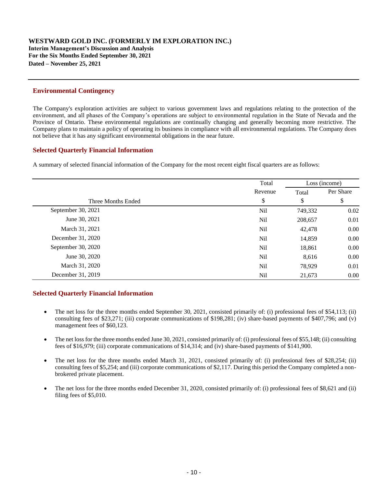**Interim Management's Discussion and Analysis For the Six Months Ended September 30, 2021 Dated – November 25, 2021**

# **Environmental Contingency**

The Company's exploration activities are subject to various government laws and regulations relating to the protection of the environment, and all phases of the Company's operations are subject to environmental regulation in the State of Nevada and the Province of Ontario. These environmental regulations are continually changing and generally becoming more restrictive. The Company plans to maintain a policy of operating its business in compliance with all environmental regulations. The Company does not believe that it has any significant environmental obligations in the near future.

# **Selected Quarterly Financial Information**

A summary of selected financial information of the Company for the most recent eight fiscal quarters are as follows:

|                    | Total           |         | Loss (income) |
|--------------------|-----------------|---------|---------------|
|                    | Revenue         | Total   | Per Share     |
| Three Months Ended | \$              | \$      | \$            |
| September 30, 2021 | Nil             | 749,332 | 0.02          |
| June 30, 2021      | Nil             | 208,657 | 0.01          |
| March 31, 2021     | N <sub>il</sub> | 42,478  | 0.00          |
| December 31, 2020  | N <sub>il</sub> | 14,859  | 0.00          |
| September 30, 2020 | N <sub>il</sub> | 18,861  | 0.00          |
| June 30, 2020      | N <sub>il</sub> | 8,616   | 0.00          |
| March 31, 2020     | N <sub>il</sub> | 78.929  | 0.01          |
| December 31, 2019  | Nil             | 21,673  | 0.00          |

## **Selected Quarterly Financial Information**

- The net loss for the three months ended September 30, 2021, consisted primarily of: (i) professional fees of \$54,113; (ii) consulting fees of \$23,271; (iii) corporate communications of \$198,281; (iv) share-based payments of \$407,796; and (v) management fees of \$60,123.
- The net loss for the three months ended June 30, 2021, consisted primarily of: (i) professional fees of \$55,148; (ii) consulting fees of \$16,979; (iii) corporate communications of \$14,314; and (iv) share-based payments of \$141,900.
- The net loss for the three months ended March 31, 2021, consisted primarily of: (i) professional fees of \$28,254; (ii) consulting fees of \$5,254; and (iii) corporate communications of \$2,117. During this period the Company completed a nonbrokered private placement.
- The net loss for the three months ended December 31, 2020, consisted primarily of: (i) professional fees of \$8,621 and (ii) filing fees of \$5,010.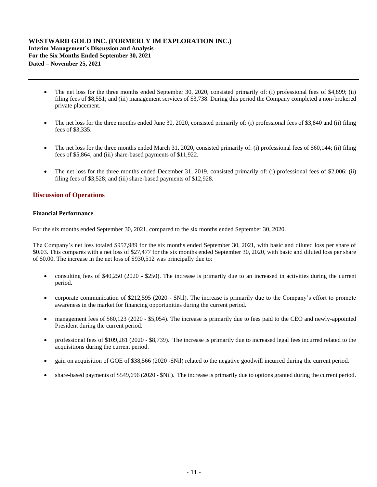**Interim Management's Discussion and Analysis For the Six Months Ended September 30, 2021 Dated – November 25, 2021**

- The net loss for the three months ended September 30, 2020, consisted primarily of: (i) professional fees of \$4,899; (ii) filing fees of \$8,551; and (iii) management services of \$3,738. During this period the Company completed a non-brokered private placement.
- The net loss for the three months ended June 30, 2020, consisted primarily of: (i) professional fees of \$3,840 and (ii) filing fees of \$3,335.
- The net loss for the three months ended March 31, 2020, consisted primarily of: (i) professional fees of \$60,144; (ii) filing fees of \$5,864; and (iii) share-based payments of \$11,922.
- The net loss for the three months ended December 31, 2019, consisted primarily of: (i) professional fees of \$2,006; (ii) filing fees of \$3,528; and (iii) share-based payments of \$12,928.

# **Discussion of Operations**

#### **Financial Performance**

For the six months ended September 30, 2021, compared to the six months ended September 30, 2020.

The Company's net loss totaled \$957,989 for the six months ended September 30, 2021, with basic and diluted loss per share of \$0.03. This compares with a net loss of \$27,477 for the six months ended September 30, 2020, with basic and diluted loss per share of \$0.00. The increase in the net loss of \$930,512 was principally due to:

- consulting fees of \$40,250 (2020 \$250). The increase is primarily due to an increased in activities during the current period.
- corporate communication of \$212,595 (2020 \$Nil). The increase is primarily due to the Company's effort to promote awareness in the market for financing opportunities during the current period.
- management fees of \$60,123 (2020 \$5,054). The increase is primarily due to fees paid to the CEO and newly-appointed President during the current period.
- professional fees of \$109,261 (2020 \$8,739). The increase is primarily due to increased legal fees incurred related to the acquisitions during the current period.
- gain on acquisition of GOE of \$38,566 (2020 -\$Nil) related to the negative goodwill incurred during the current period.
- share-based payments of \$549,696 (2020 \$Nil). The increase is primarily due to options granted during the current period.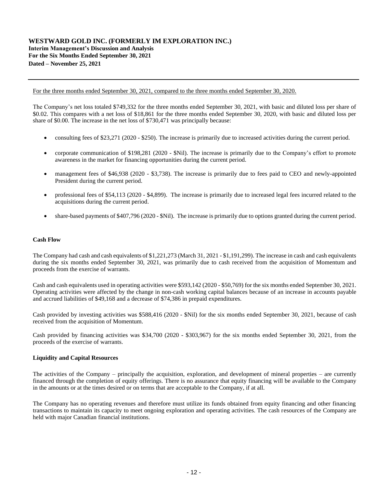For the three months ended September 30, 2021, compared to the three months ended September 30, 2020.

The Company's net loss totaled \$749,332 for the three months ended September 30, 2021, with basic and diluted loss per share of \$0.02. This compares with a net loss of \$18,861 for the three months ended September 30, 2020, with basic and diluted loss per share of \$0.00. The increase in the net loss of \$730,471 was principally because:

- consulting fees of \$23,271 (2020 \$250). The increase is primarily due to increased activities during the current period.
- corporate communication of \$198,281 (2020 \$Nil). The increase is primarily due to the Company's effort to promote awareness in the market for financing opportunities during the current period.
- management fees of \$46,938 (2020 \$3,738). The increase is primarily due to fees paid to CEO and newly-appointed President during the current period.
- professional fees of \$54,113 (2020 \$4,899). The increase is primarily due to increased legal fees incurred related to the acquisitions during the current period.
- share-based payments of \$407,796 (2020 \$Nil). The increase is primarily due to options granted during the current period.

#### **Cash Flow**

The Company had cash and cash equivalents of \$1,221,273 (March 31, 2021 - \$1,191,299). The increase in cash and cash equivalents during the six months ended September 30, 2021, was primarily due to cash received from the acquisition of Momentum and proceeds from the exercise of warrants.

Cash and cash equivalents used in operating activities were \$593,142 (2020 - \$50,769) for the six months ended September 30, 2021. Operating activities were affected by the change in non-cash working capital balances because of an increase in accounts payable and accrued liabilities of \$49,168 and a decrease of \$74,386 in prepaid expenditures.

Cash provided by investing activities was \$588,416 (2020 - \$Nil) for the six months ended September 30, 2021, because of cash received from the acquisition of Momentum.

Cash provided by financing activities was \$34,700 (2020 - \$303,967) for the six months ended September 30, 2021, from the proceeds of the exercise of warrants.

#### **Liquidity and Capital Resources**

The activities of the Company – principally the acquisition, exploration, and development of mineral properties – are currently financed through the completion of equity offerings. There is no assurance that equity financing will be available to the Company in the amounts or at the times desired or on terms that are acceptable to the Company, if at all.

The Company has no operating revenues and therefore must utilize its funds obtained from equity financing and other financing transactions to maintain its capacity to meet ongoing exploration and operating activities. The cash resources of the Company are held with major Canadian financial institutions.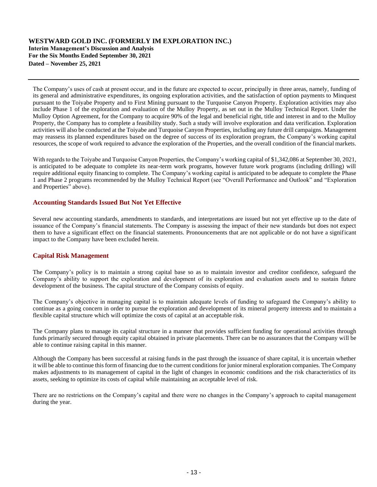# **WESTWARD GOLD INC. (FORMERLY IM EXPLORATION INC.) Interim Management's Discussion and Analysis**

**For the Six Months Ended September 30, 2021 Dated – November 25, 2021**

The Company's uses of cash at present occur, and in the future are expected to occur, principally in three areas, namely, funding of its general and administrative expenditures, its ongoing exploration activities, and the satisfaction of option payments to Minquest pursuant to the Toiyabe Property and to First Mining pursuant to the Turquoise Canyon Property. Exploration activities may also include Phase 1 of the exploration and evaluation of the Mulloy Property, as set out in the Mulloy Technical Report. Under the Mulloy Option Agreement, for the Company to acquire 90% of the legal and beneficial right, title and interest in and to the Mulloy Property, the Company has to complete a feasibility study. Such a study will involve exploration and data verification. Exploration activities will also be conducted at the Toiyabe and Turquoise Canyon Properties, including any future drill campaigns. Management may reassess its planned expenditures based on the degree of success of its exploration program, the Company's working capital resources, the scope of work required to advance the exploration of the Properties, and the overall condition of the financial markets.

With regards to the Toiyabe and Turquoise Canyon Properties, the Company's working capital of \$1,342,086 at September 30, 2021, is anticipated to be adequate to complete its near-term work programs, however future work programs (including drilling) will require additional equity financing to complete. The Company's working capital is anticipated to be adequate to complete the Phase 1 and Phase 2 programs recommended by the Mulloy Technical Report (see "Overall Performance and Outlook" and "Exploration and Properties" above).

# **Accounting Standards Issued But Not Yet Effective**

Several new accounting standards, amendments to standards, and interpretations are issued but not yet effective up to the date of issuance of the Company's financial statements. The Company is assessing the impact of their new standards but does not expect them to have a significant effect on the financial statements. Pronouncements that are not applicable or do not have a significant impact to the Company have been excluded herein.

# **Capital Risk Management**

The Company's policy is to maintain a strong capital base so as to maintain investor and creditor confidence, safeguard the Company's ability to support the exploration and development of its exploration and evaluation assets and to sustain future development of the business. The capital structure of the Company consists of equity.

The Company's objective in managing capital is to maintain adequate levels of funding to safeguard the Company's ability to continue as a going concern in order to pursue the exploration and development of its mineral property interests and to maintain a flexible capital structure which will optimize the costs of capital at an acceptable risk.

The Company plans to manage its capital structure in a manner that provides sufficient funding for operational activities through funds primarily secured through equity capital obtained in private placements. There can be no assurances that the Company will be able to continue raising capital in this manner.

Although the Company has been successful at raising funds in the past through the issuance of share capital, it is uncertain whether it will be able to continue this form of financing due to the current conditions for junior mineral exploration companies. The Company makes adjustments to its management of capital in the light of changes in economic conditions and the risk characteristics of its assets, seeking to optimize its costs of capital while maintaining an acceptable level of risk.

There are no restrictions on the Company's capital and there were no changes in the Company's approach to capital management during the year.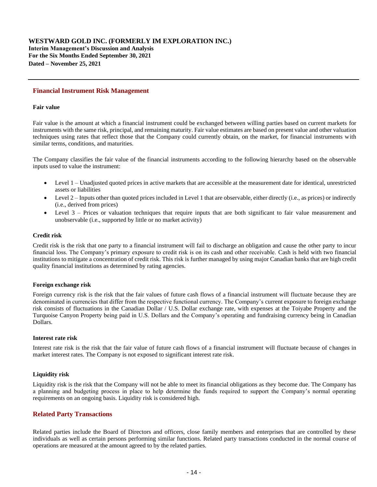#### **Financial Instrument Risk Management**

#### **Fair value**

Fair value is the amount at which a financial instrument could be exchanged between willing parties based on current markets for instruments with the same risk, principal, and remaining maturity. Fair value estimates are based on present value and other valuation techniques using rates that reflect those that the Company could currently obtain, on the market, for financial instruments with similar terms, conditions, and maturities.

The Company classifies the fair value of the financial instruments according to the following hierarchy based on the observable inputs used to value the instrument:

- Level 1 Unadjusted quoted prices in active markets that are accessible at the measurement date for identical, unrestricted assets or liabilities
- Level 2 Inputs other than quoted prices included in Level 1 that are observable, either directly (i.e., as prices) or indirectly (i.e., derived from prices)
- Level 3 Prices or valuation techniques that require inputs that are both significant to fair value measurement and unobservable (i.e., supported by little or no market activity)

#### **Credit risk**

Credit risk is the risk that one party to a financial instrument will fail to discharge an obligation and cause the other party to incur financial loss. The Company's primary exposure to credit risk is on its cash and other receivable. Cash is held with two financial institutions to mitigate a concentration of credit risk. This risk is further managed by using major Canadian banks that are high credit quality financial institutions as determined by rating agencies.

#### **Foreign exchange risk**

Foreign currency risk is the risk that the fair values of future cash flows of a financial instrument will fluctuate because they are denominated in currencies that differ from the respective functional currency. The Company's current exposure to foreign exchange risk consists of fluctuations in the Canadian Dollar / U.S. Dollar exchange rate, with expenses at the Toiyabe Property and the Turquoise Canyon Property being paid in U.S. Dollars and the Company's operating and fundraising currency being in Canadian Dollars.

#### **Interest rate risk**

Interest rate risk is the risk that the fair value of future cash flows of a financial instrument will fluctuate because of changes in market interest rates. The Company is not exposed to significant interest rate risk.

#### **Liquidity risk**

Liquidity risk is the risk that the Company will not be able to meet its financial obligations as they become due. The Company has a planning and budgeting process in place to help determine the funds required to support the Company's normal operating requirements on an ongoing basis. Liquidity risk is considered high.

## **Related Party Transactions**

Related parties include the Board of Directors and officers, close family members and enterprises that are controlled by these individuals as well as certain persons performing similar functions. Related party transactions conducted in the normal course of operations are measured at the amount agreed to by the related parties.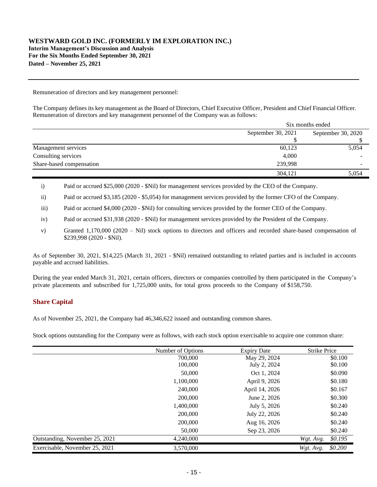#### **WESTWARD GOLD INC. (FORMERLY IM EXPLORATION INC.) Interim Management's Discussion and Analysis**

**For the Six Months Ended September 30, 2021 Dated – November 25, 2021**

Remuneration of directors and key management personnel:

The Company defines its key management as the Board of Directors, Chief Executive Officer, President and Chief Financial Officer. Remuneration of directors and key management personnel of the Company was as follows:

|                          | Six months ended   |                    |  |
|--------------------------|--------------------|--------------------|--|
|                          | September 30, 2021 | September 30, 2020 |  |
|                          | мB.                |                    |  |
| Management services      | 60,123             | 5,054              |  |
| Consulting services      | 4,000              |                    |  |
| Share-based compensation | 239,998            | -                  |  |
|                          | 304,121            | 5.054              |  |

i) Paid or accrued \$25,000 (2020 - \$Nil) for management services provided by the CEO of the Company.

ii) Paid or accrued \$3,185 (2020 - \$5,054) for management services provided by the former CFO of the Company.

iii) Paid or accrued \$4,000 (2020 - \$Nil) for consulting services provided by the former CEO of the Company.

iv) Paid or accrued \$31,938 (2020 - \$Nil) for management services provided by the President of the Company.

v) Granted 1,170,000 (2020 – Nil) stock options to directors and officers and recorded share-based compensation of \$239,998 (2020 - \$Nil).

As of September 30, 2021, \$14,225 (March 31, 2021 - \$Nil) remained outstanding to related parties and is included in accounts payable and accrued liabilities.

During the year ended March 31, 2021, certain officers, directors or companies controlled by them participated in the Company's private placements and subscribed for 1,725,000 units, for total gross proceeds to the Company of \$158,750.

## **Share Capital**

As of November 25, 2021, the Company had 46,346,622 issued and outstanding common shares.

Stock options outstanding for the Company were as follows, with each stock option exercisable to acquire one common share:

|                                | Number of Options | <b>Expiry Date</b> | <b>Strike Price</b>  |
|--------------------------------|-------------------|--------------------|----------------------|
|                                | 700,000           | May 29, 2024       | \$0.100              |
|                                | 100,000           | July 2, 2024       | \$0.100              |
|                                | 50,000            | Oct 1, 2024        | \$0.090              |
|                                | 1,100,000         | April 9, 2026      | \$0.180              |
|                                | 240,000           | April 14, 2026     | \$0.167              |
|                                | 200,000           | June 2, 2026       | \$0.300              |
|                                | 1,400,000         | July 5, 2026       | \$0.240              |
|                                | 200,000           | July 22, 2026      | \$0.240              |
|                                | 200,000           | Aug 16, 2026       | \$0.240              |
|                                | 50,000            | Sep 23, 2026       | \$0.240              |
| Outstanding, November 25, 2021 | 4,240,000         |                    | \$0.195<br>Wgt. Avg. |
| Exercisable. November 25, 2021 | 3,570,000         |                    | \$0.200<br>Wgt. Avg. |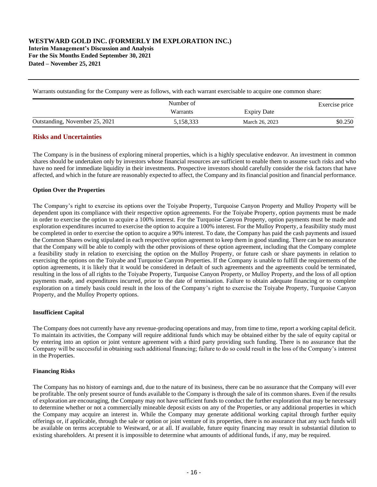**Interim Management's Discussion and Analysis For the Six Months Ended September 30, 2021 Dated – November 25, 2021**

Warrants outstanding for the Company were as follows, with each warrant exercisable to acquire one common share:

|                                | Number of |                    | Exercise price |
|--------------------------------|-----------|--------------------|----------------|
|                                | Warrants  | <b>Expiry Date</b> |                |
| Outstanding, November 25, 2021 | 5,158,333 | March 26, 2023     | \$0.250        |

# **Risks and Uncertainties**

The Company is in the business of exploring mineral properties, which is a highly speculative endeavor. An investment in common shares should be undertaken only by investors whose financial resources are sufficient to enable them to assume such risks and who have no need for immediate liquidity in their investments. Prospective investors should carefully consider the risk factors that have affected, and which in the future are reasonably expected to affect, the Company and its financial position and financial performance.

#### **Option Over the Properties**

The Company's right to exercise its options over the Toiyabe Property, Turquoise Canyon Property and Mulloy Property will be dependent upon its compliance with their respective option agreements. For the Toiyabe Property, option payments must be made in order to exercise the option to acquire a 100% interest. For the Turquoise Canyon Property, option payments must be made and exploration expenditures incurred to exercise the option to acquire a 100% interest. For the Mulloy Property, a feasibility study must be completed in order to exercise the option to acquire a 90% interest. To date, the Company has paid the cash payments and issued the Common Shares owing stipulated in each respective option agreement to keep them in good standing. There can be no assurance that the Company will be able to comply with the other provisions of these option agreement, including that the Company complete a feasibility study in relation to exercising the option on the Mulloy Property, or future cash or share payments in relation to exercising the options on the Toiyabe and Turquoise Canyon Properties. If the Company is unable to fulfill the requirements of the option agreements, it is likely that it would be considered in default of such agreements and the agreements could be terminated, resulting in the loss of all rights to the Toiyabe Property, Turquoise Canyon Property, or Mulloy Property, and the loss of all option payments made, and expenditures incurred, prior to the date of termination. Failure to obtain adequate financing or to complete exploration on a timely basis could result in the loss of the Company's right to exercise the Toiyabe Property, Turquoise Canyon Property, and the Mulloy Property options.

## **Insufficient Capital**

The Company does not currently have any revenue-producing operations and may, from time to time, report a working capital deficit. To maintain its activities, the Company will require additional funds which may be obtained either by the sale of equity capital or by entering into an option or joint venture agreement with a third party providing such funding. There is no assurance that the Company will be successful in obtaining such additional financing; failure to do so could result in the loss of the Company's interest in the Properties.

#### **Financing Risks**

The Company has no history of earnings and, due to the nature of its business, there can be no assurance that the Company will ever be profitable. The only present source of funds available to the Company is through the sale of its common shares. Even if the results of exploration are encouraging, the Company may not have sufficient funds to conduct the further exploration that may be necessary to determine whether or not a commercially mineable deposit exists on any of the Properties, or any additional properties in which the Company may acquire an interest in. While the Company may generate additional working capital through further equity offerings or, if applicable, through the sale or option or joint venture of its properties, there is no assurance that any such funds will be available on terms acceptable to Westward, or at all. If available, future equity financing may result in substantial dilution to existing shareholders. At present it is impossible to determine what amounts of additional funds, if any, may be required.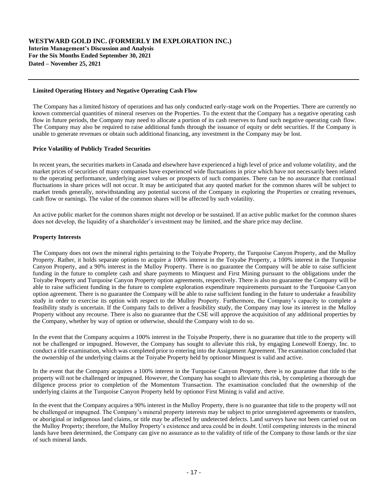**Interim Management's Discussion and Analysis For the Six Months Ended September 30, 2021 Dated – November 25, 2021**

#### **Limited Operating History and Negative Operating Cash Flow**

The Company has a limited history of operations and has only conducted early-stage work on the Properties. There are currently no known commercial quantities of mineral reserves on the Properties. To the extent that the Company has a negative operating cash flow in future periods, the Company may need to allocate a portion of its cash reserves to fund such negative operating cash flow. The Company may also be required to raise additional funds through the issuance of equity or debt securities. If the Company is unable to generate revenues or obtain such additional financing, any investment in the Company may be lost.

## **Price Volatility of Publicly Traded Securities**

In recent years, the securities markets in Canada and elsewhere have experienced a high level of price and volume volatility, and the market prices of securities of many companies have experienced wide fluctuations in price which have not necessarily been related to the operating performance, underlying asset values or prospects of such companies. There can be no assurance that continual fluctuations in share prices will not occur. It may be anticipated that any quoted market for the common shares will be subject to market trends generally, notwithstanding any potential success of the Company in exploring the Properties or creating revenues, cash flow or earnings. The value of the common shares will be affected by such volatility.

An active public market for the common shares might not develop or be sustained. If an active public market for the common shares does not develop, the liquidity of a shareholder's investment may be limited, and the share price may decline.

#### **Property Interests**

The Company does not own the mineral rights pertaining to the Toiyabe Property, the Turquoise Canyon Property, and the Mulloy Property. Rather, it holds separate options to acquire a 100% interest in the Toiyabe Property, a 100% interest in the Turquoise Canyon Property, and a 90% interest in the Mulloy Property. There is no guarantee the Company will be able to raise sufficient funding in the future to complete cash and share payments to Minquest and First Mining pursuant to the obligations under the Toiyabe Property and Turquoise Canyon Property option agreements, respectively. There is also no guarantee the Company will be able to raise sufficient funding in the future to complete exploration expenditure requirements pursuant to the Turquoise Canyon option agreement. There is no guarantee the Company will be able to raise sufficient funding in the future to undertake a feasibility study in order to exercise its option with respect to the Mulloy Property. Furthermore, the Company's capacity to complete a feasibility study is uncertain. If the Company fails to deliver a feasibility study, the Company may lose its interest in the Mulloy Property without any recourse. There is also no guarantee that the CSE will approve the acquisition of any additional properties by the Company, whether by way of option or otherwise, should the Company wish to do so.

In the event that the Company acquires a 100% interest in the Toiyabe Property, there is no guarantee that title to the property will not be challenged or impugned. However, the Company has sought to alleviate this risk, by engaging Lonewolf Energy, Inc. to conduct a title examination, which was completed prior to entering into the Assignment Agreement. The examination concluded that the ownership of the underlying claims at the Toiyabe Property held by optionor Minquest is valid and active.

In the event that the Company acquires a 100% interest in the Turquoise Canyon Property, there is no guarantee that title to the property will not be challenged or impugned. However, the Company has sought to alleviate this risk, by completing a thorough due diligence process prior to completion of the Momentum Transaction. The examination concluded that the ownership of the underlying claims at the Turquoise Canyon Property held by optionor First Mining is valid and active.

In the event that the Company acquires a 90% interest in the Mulloy Property, there is no guarantee that title to the property will not be challenged or impugned. The Company's mineral property interests may be subject to prior unregistered agreements or transfers, or aboriginal or indigenous land claims, or title may be affected by undetected defects. Land surveys have not been carried out on the Mulloy Property; therefore, the Mulloy Property's existence and area could be in doubt. Until competing interests in the mineral lands have been determined, the Company can give no assurance as to the validity of title of the Company to those lands or the size of such mineral lands.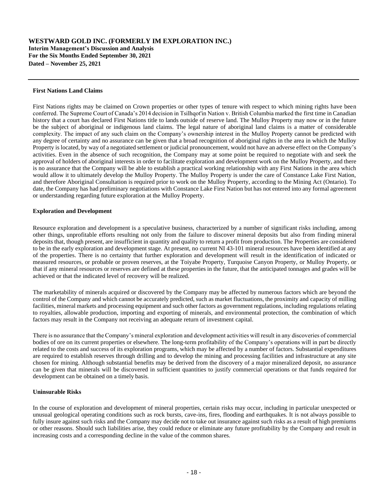**Interim Management's Discussion and Analysis For the Six Months Ended September 30, 2021 Dated – November 25, 2021**

#### **First Nations Land Claims**

First Nations rights may be claimed on Crown properties or other types of tenure with respect to which mining rights have been conferred. The Supreme Court of Canada's 2014 decision in Tsilhqot'in Nation v. British Columbia marked the first time in Canadian history that a court has declared First Nations title to lands outside of reserve land. The Mulloy Property may now or in the future be the subject of aboriginal or indigenous land claims. The legal nature of aboriginal land claims is a matter of considerable complexity. The impact of any such claim on the Company's ownership interest in the Mulloy Property cannot be predicted with any degree of certainty and no assurance can be given that a broad recognition of aboriginal rights in the area in which the Mulloy Property is located, by way of a negotiated settlement or judicial pronouncement, would not have an adverse effect on the Company's activities. Even in the absence of such recognition, the Company may at some point be required to negotiate with and seek the approval of holders of aboriginal interests in order to facilitate exploration and development work on the Mulloy Property, and there is no assurance that the Company will be able to establish a practical working relationship with any First Nations in the area which would allow it to ultimately develop the Mulloy Property. The Mulloy Property is under the care of Constance Lake First Nation, and therefore Aboriginal Consultation is required prior to work on the Mulloy Property, according to the Mining Act (Ontario). To date, the Company has had preliminary negotiations with Constance Lake First Nation but has not entered into any formal agreement or understanding regarding future exploration at the Mulloy Property.

#### **Exploration and Development**

Resource exploration and development is a speculative business, characterized by a number of significant risks including, among other things, unprofitable efforts resulting not only from the failure to discover mineral deposits but also from finding mineral deposits that, though present, are insufficient in quantity and quality to return a profit from production. The Properties are considered to be in the early exploration and development stage. At present, no current NI 43-101 mineral resources have been identified at any of the properties. There is no certainty that further exploration and development will result in the identification of indicated or measured resources, or probable or proven reserves, at the Toiyabe Property, Turquoise Canyon Property, or Mulloy Property, or that if any mineral resources or reserves are defined at these properties in the future, that the anticipated tonnages and grades will be achieved or that the indicated level of recovery will be realized.

The marketability of minerals acquired or discovered by the Company may be affected by numerous factors which are beyond the control of the Company and which cannot be accurately predicted, such as market fluctuations, the proximity and capacity of milling facilities, mineral markets and processing equipment and such other factors as government regulations, including regulations relating to royalties, allowable production, importing and exporting of minerals, and environmental protection, the combination of which factors may result in the Company not receiving an adequate return of investment capital.

There is no assurance that the Company's mineral exploration and development activities will result in any discoveries of commercial bodies of ore on its current properties or elsewhere. The long-term profitability of the Company's operations will in part be directly related to the costs and success of its exploration programs, which may be affected by a number of factors. Substantial expenditures are required to establish reserves through drilling and to develop the mining and processing facilities and infrastructure at any site chosen for mining. Although substantial benefits may be derived from the discovery of a major mineralized deposit, no assurance can be given that minerals will be discovered in sufficient quantities to justify commercial operations or that funds required for development can be obtained on a timely basis.

## **Uninsurable Risks**

In the course of exploration and development of mineral properties, certain risks may occur, including in particular unexpected or unusual geological operating conditions such as rock bursts, cave-ins, fires, flooding and earthquakes. It is not always possible to fully insure against such risks and the Company may decide not to take out insurance against such risks as a result of high premiums or other reasons. Should such liabilities arise, they could reduce or eliminate any future profitability by the Company and result in increasing costs and a corresponding decline in the value of the common shares.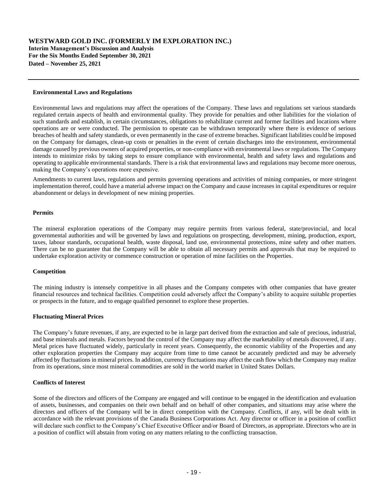**Interim Management's Discussion and Analysis For the Six Months Ended September 30, 2021 Dated – November 25, 2021**

#### **Environmental Laws and Regulations**

Environmental laws and regulations may affect the operations of the Company. These laws and regulations set various standards regulated certain aspects of health and environmental quality. They provide for penalties and other liabilities for the violation of such standards and establish, in certain circumstances, obligations to rehabilitate current and former facilities and locations where operations are or were conducted. The permission to operate can be withdrawn temporarily where there is evidence of serious breaches of health and safety standards, or even permanently in the case of extreme breaches. Significant liabilities could be imposed on the Company for damages, clean-up costs or penalties in the event of certain discharges into the environment, environmental damage caused by previous owners of acquired properties, or non-compliance with environmental laws or regulations. The Company intends to minimize risks by taking steps to ensure compliance with environmental, health and safety laws and regulations and operating to applicable environmental standards. There is a risk that environmental laws and regulations may become more onerous, making the Company's operations more expensive.

Amendments to current laws, regulations and permits governing operations and activities of mining companies, or more stringent implementation thereof, could have a material adverse impact on the Company and cause increases in capital expenditures or require abandonment or delays in development of new mining properties.

#### **Permits**

The mineral exploration operations of the Company may require permits from various federal, state/provincial, and local governmental authorities and will be governed by laws and regulations on prospecting, development, mining, production, export, taxes, labour standards, occupational health, waste disposal, land use, environmental protections, mine safety and other matters. There can be no guarantee that the Company will be able to obtain all necessary permits and approvals that may be required to undertake exploration activity or commence construction or operation of mine facilities on the Properties.

## **Competition**

The mining industry is intensely competitive in all phases and the Company competes with other companies that have greater financial resources and technical facilities. Competition could adversely affect the Company's ability to acquire suitable properties or prospects in the future, and to engage qualified personnel to explore these properties.

## **Fluctuating Mineral Prices**

The Company's future revenues, if any, are expected to be in large part derived from the extraction and sale of precious, industrial, and base minerals and metals. Factors beyond the control of the Company may affect the marketability of metals discovered, if any. Metal prices have fluctuated widely, particularly in recent years. Consequently, the economic viability of the Properties and any other exploration properties the Company may acquire from time to time cannot be accurately predicted and may be adversely affected by fluctuations in mineral prices. In addition, currency fluctuations may affect the cash flow which the Company may realize from its operations, since most mineral commodities are sold in the world market in United States Dollars.

## **Conflicts of Interest**

Some of the directors and officers of the Company are engaged and will continue to be engaged in the identification and evaluation of assets, businesses, and companies on their own behalf and on behalf of other companies, and situations may arise where the directors and officers of the Company will be in direct competition with the Company. Conflicts, if any, will be dealt with in accordance with the relevant provisions of the Canada Business Corporations Act. Any director or officer in a position of conflict will declare such conflict to the Company's Chief Executive Officer and/or Board of Directors, as appropriate. Directors who are in a position of conflict will abstain from voting on any matters relating to the conflicting transaction.